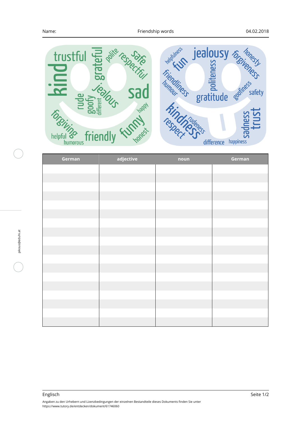

| German | adjective | noun | German |
|--------|-----------|------|--------|
|        |           |      |        |
|        |           |      |        |
|        |           |      |        |
|        |           |      |        |
|        |           |      |        |
|        |           |      |        |
|        |           |      |        |
|        |           |      |        |
|        |           |      |        |
|        |           |      |        |
|        |           |      |        |
|        |           |      |        |
|        |           |      |        |
|        |           |      |        |
|        |           |      |        |
|        |           |      |        |
|        |           |      |        |
|        |           |      |        |
|        |           |      |        |

Angaben zu den Urhebern und Lizenzbedingungen der einzelnen Bestandteile dieses Dokuments finden Sie unter https://www.tutory.de/entdecken/dokument/61746060 Englisch Seite 1/2